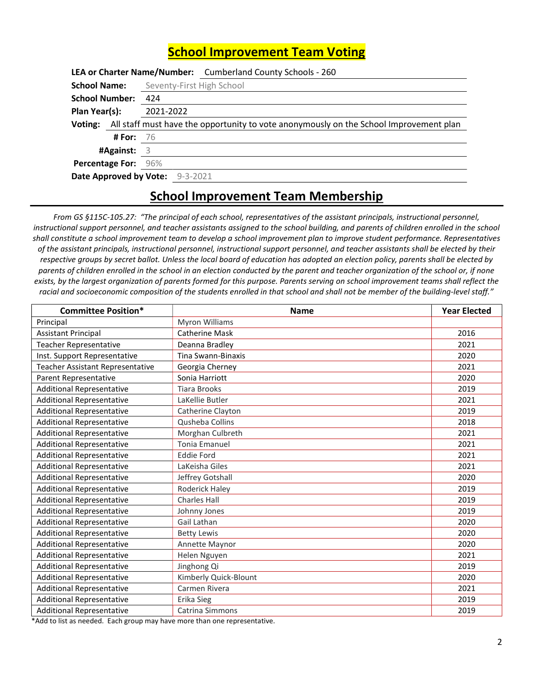## School Improvement Team Voting

|                                 |                  | LEA or Charter Name/Number: Cumberland County Schools - 260                                    |
|---------------------------------|------------------|------------------------------------------------------------------------------------------------|
| <b>School Name:</b>             |                  | Seventy-First High School                                                                      |
| School Number: 424              |                  |                                                                                                |
| Plan Year(s):                   |                  | 2021-2022                                                                                      |
|                                 |                  | Voting: All staff must have the opportunity to vote anonymously on the School Improvement plan |
|                                 | <b># For:</b> 76 |                                                                                                |
| #Against: $3$                   |                  |                                                                                                |
| <b>Percentage For: 96%</b>      |                  |                                                                                                |
| Date Approved by Vote: 9-3-2021 |                  |                                                                                                |

## School Improvement Team Membership

From GS §115C-105.27: "The principal of each school, representatives of the assistant principals, instructional personnel, instructional support personnel, and teacher assistants assigned to the school building, and parents of children enrolled in the school shall constitute a school improvement team to develop a school improvement plan to improve student performance. Representatives of the assistant principals, instructional personnel, instructional support personnel, and teacher assistants shall be elected by their respective groups by secret ballot. Unless the local board of education has adopted an election policy, parents shall be elected by parents of children enrolled in the school in an election conducted by the parent and teacher organization of the school or, if none exists, by the largest organization of parents formed for this purpose. Parents serving on school improvement teams shall reflect the racial and socioeconomic composition of the students enrolled in that school and shall not be member of the building-level staff."

| <b>Committee Position*</b>              | <b>Name</b>           | <b>Year Elected</b> |
|-----------------------------------------|-----------------------|---------------------|
| Principal                               | Myron Williams        |                     |
| <b>Assistant Principal</b>              | <b>Catherine Mask</b> | 2016                |
| <b>Teacher Representative</b>           | Deanna Bradley        | 2021                |
| Inst. Support Representative            | Tina Swann-Binaxis    | 2020                |
| <b>Teacher Assistant Representative</b> | Georgia Cherney       | 2021                |
| Parent Representative                   | Sonia Harriott        | 2020                |
| <b>Additional Representative</b>        | <b>Tiara Brooks</b>   | 2019                |
| <b>Additional Representative</b>        | LaKellie Butler       | 2021                |
| <b>Additional Representative</b>        | Catherine Clayton     | 2019                |
| <b>Additional Representative</b>        | Qusheba Collins       | 2018                |
| <b>Additional Representative</b>        | Morghan Culbreth      | 2021                |
| <b>Additional Representative</b>        | <b>Tonia Emanuel</b>  | 2021                |
| <b>Additional Representative</b>        | <b>Eddie Ford</b>     | 2021                |
| <b>Additional Representative</b>        | LaKeisha Giles        | 2021                |
| <b>Additional Representative</b>        | Jeffrey Gotshall      | 2020                |
| <b>Additional Representative</b>        | Roderick Haley        | 2019                |
| <b>Additional Representative</b>        | <b>Charles Hall</b>   | 2019                |
| <b>Additional Representative</b>        | Johnny Jones          | 2019                |
| <b>Additional Representative</b>        | Gail Lathan           | 2020                |
| <b>Additional Representative</b>        | <b>Betty Lewis</b>    | 2020                |
| <b>Additional Representative</b>        | Annette Maynor        | 2020                |
| <b>Additional Representative</b>        | Helen Nguyen          | 2021                |
| <b>Additional Representative</b>        | Jinghong Qi           | 2019                |
| <b>Additional Representative</b>        | Kimberly Quick-Blount | 2020                |
| <b>Additional Representative</b>        | Carmen Rivera         | 2021                |
| <b>Additional Representative</b>        | Erika Sieg            | 2019                |
| <b>Additional Representative</b>        | Catrina Simmons       | 2019                |

\*Add to list as needed. Each group may have more than one representative.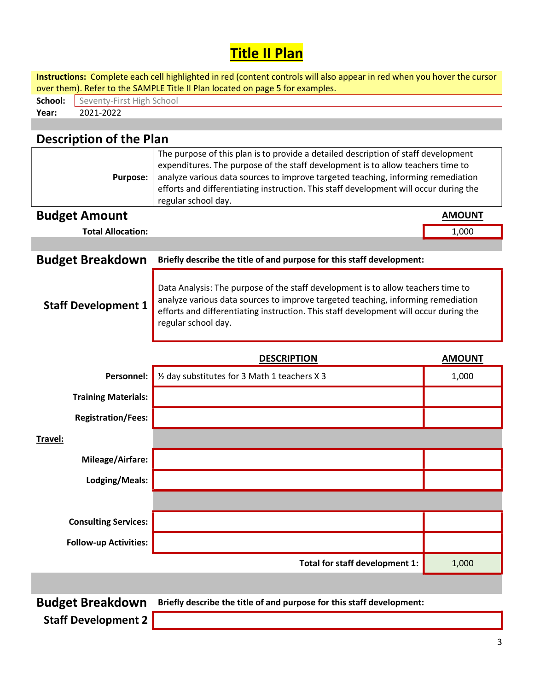## **Title II Plan**

| Instructions: Complete each cell highlighted in red (content controls will also appear in red when you hover the cursor<br>over them). Refer to the SAMPLE Title II Plan located on page 5 for examples. |                                                                                                                                                                                                                                                                                                                                                                           |               |  |  |  |  |  |  |
|----------------------------------------------------------------------------------------------------------------------------------------------------------------------------------------------------------|---------------------------------------------------------------------------------------------------------------------------------------------------------------------------------------------------------------------------------------------------------------------------------------------------------------------------------------------------------------------------|---------------|--|--|--|--|--|--|
| Seventy-First High School<br>School:                                                                                                                                                                     |                                                                                                                                                                                                                                                                                                                                                                           |               |  |  |  |  |  |  |
| 2021-2022<br>Year:                                                                                                                                                                                       |                                                                                                                                                                                                                                                                                                                                                                           |               |  |  |  |  |  |  |
|                                                                                                                                                                                                          |                                                                                                                                                                                                                                                                                                                                                                           |               |  |  |  |  |  |  |
| <b>Description of the Plan</b>                                                                                                                                                                           |                                                                                                                                                                                                                                                                                                                                                                           |               |  |  |  |  |  |  |
| <b>Purpose:</b>                                                                                                                                                                                          | The purpose of this plan is to provide a detailed description of staff development<br>expenditures. The purpose of the staff development is to allow teachers time to<br>analyze various data sources to improve targeted teaching, informing remediation<br>efforts and differentiating instruction. This staff development will occur during the<br>regular school day. |               |  |  |  |  |  |  |
| <b>Budget Amount</b>                                                                                                                                                                                     |                                                                                                                                                                                                                                                                                                                                                                           | <b>AMOUNT</b> |  |  |  |  |  |  |
| <b>Total Allocation:</b>                                                                                                                                                                                 |                                                                                                                                                                                                                                                                                                                                                                           | 1,000         |  |  |  |  |  |  |
|                                                                                                                                                                                                          |                                                                                                                                                                                                                                                                                                                                                                           |               |  |  |  |  |  |  |
| <b>Budget Breakdown</b>                                                                                                                                                                                  | Briefly describe the title of and purpose for this staff development:                                                                                                                                                                                                                                                                                                     |               |  |  |  |  |  |  |
| <b>Staff Development 1</b>                                                                                                                                                                               | Data Analysis: The purpose of the staff development is to allow teachers time to<br>analyze various data sources to improve targeted teaching, informing remediation<br>efforts and differentiating instruction. This staff development will occur during the<br>regular school day.                                                                                      |               |  |  |  |  |  |  |
|                                                                                                                                                                                                          |                                                                                                                                                                                                                                                                                                                                                                           |               |  |  |  |  |  |  |
|                                                                                                                                                                                                          | <b>DESCRIPTION</b>                                                                                                                                                                                                                                                                                                                                                        | <b>AMOUNT</b> |  |  |  |  |  |  |
| <b>Personnel:</b>                                                                                                                                                                                        | 1/2 day substitutes for 3 Math 1 teachers X 3                                                                                                                                                                                                                                                                                                                             | 1,000         |  |  |  |  |  |  |
| <b>Training Materials:</b>                                                                                                                                                                               |                                                                                                                                                                                                                                                                                                                                                                           |               |  |  |  |  |  |  |
| <b>Registration/Fees:</b>                                                                                                                                                                                |                                                                                                                                                                                                                                                                                                                                                                           |               |  |  |  |  |  |  |
| Travel:                                                                                                                                                                                                  |                                                                                                                                                                                                                                                                                                                                                                           |               |  |  |  |  |  |  |
| <b>Mileage/Airfare:</b>                                                                                                                                                                                  |                                                                                                                                                                                                                                                                                                                                                                           |               |  |  |  |  |  |  |
| Lodging/Meals:                                                                                                                                                                                           |                                                                                                                                                                                                                                                                                                                                                                           |               |  |  |  |  |  |  |
|                                                                                                                                                                                                          |                                                                                                                                                                                                                                                                                                                                                                           |               |  |  |  |  |  |  |
| <b>Consulting Services:</b>                                                                                                                                                                              |                                                                                                                                                                                                                                                                                                                                                                           |               |  |  |  |  |  |  |
| <b>Follow-up Activities:</b>                                                                                                                                                                             |                                                                                                                                                                                                                                                                                                                                                                           |               |  |  |  |  |  |  |
|                                                                                                                                                                                                          | Total for staff development 1:                                                                                                                                                                                                                                                                                                                                            | 1,000         |  |  |  |  |  |  |
|                                                                                                                                                                                                          |                                                                                                                                                                                                                                                                                                                                                                           |               |  |  |  |  |  |  |

Staff Development 2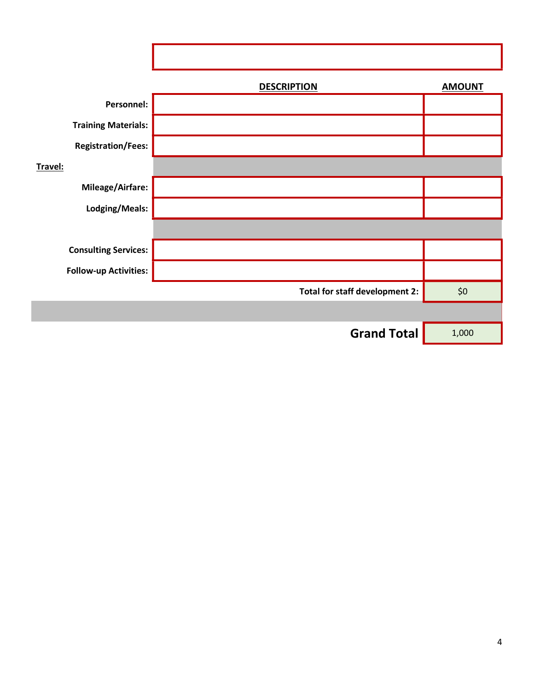|                              | <b>DESCRIPTION</b>             | <b>AMOUNT</b> |
|------------------------------|--------------------------------|---------------|
| Personnel:                   |                                |               |
| <b>Training Materials:</b>   |                                |               |
| <b>Registration/Fees:</b>    |                                |               |
| Travel:                      |                                |               |
| Mileage/Airfare:             |                                |               |
| Lodging/Meals:               |                                |               |
|                              |                                |               |
| <b>Consulting Services:</b>  |                                |               |
| <b>Follow-up Activities:</b> |                                |               |
|                              | Total for staff development 2: | \$0           |
|                              |                                |               |
|                              | <b>Grand Total</b>             | 1,000         |